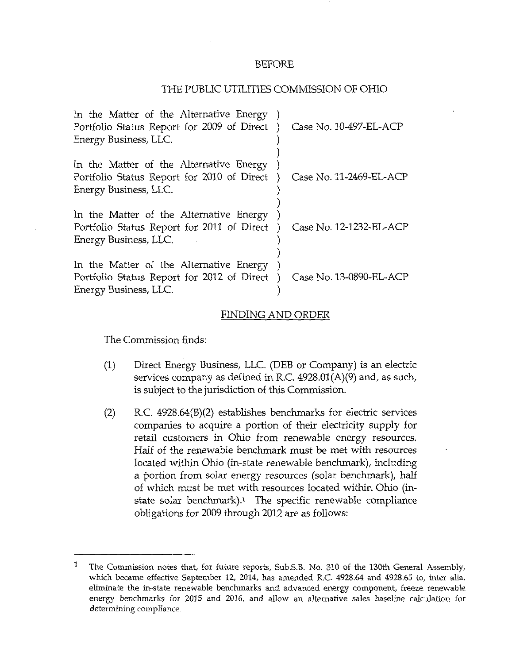## BEFORE

## THE PUBLIC UTILITIES COMMISSION OF OHIO

| In the Matter of the Alternative Energy )<br>Portfolio Status Report for 2009 of Direct)<br>Energy Business, LLC. | Case No. 10-497-EL-ACP  |
|-------------------------------------------------------------------------------------------------------------------|-------------------------|
| In the Matter of the Alternative Energy<br>Portfolio Status Report for 2010 of Direct)<br>Energy Business, LLC.   | Case No. 11-2469-EL-ACP |
| In the Matter of the Alternative Energy<br>Portfolio Status Report for 2011 of Direct<br>Energy Business, LLC.    | Case No. 12-1232-EL-ACP |
| In the Matter of the Alternative Energy<br>Portfolio Status Report for 2012 of Direct<br>Energy Business, LLC.    | Case No. 13-0890-EL-ACP |

## FINDING AND ORDER

The Commission finds:

- (1) Direct Energy Business, LLC. (DEB or Company) is an electric services company as defined in R.C. 4928.01(A)(9) and, as such, is subject to the jurisdiction of this Commission.
- (2) R.C. 4928.64(B)(2) establishes benchmarks for electric services companies to acquire a portion of their electricity supply for retail customers in Ohio from renewable energy resources. Half of the renewable benchmark must be met with resources located within Ohio (in-state renewable benchmark), including a portion from solar energy resources (solar benchmark), half of which must be met with resources located within Ohio (instate solar benchmark).<sup>1</sup> The specific renewable compliance obligations for 2009 through 2012 are as follows:

<sup>&</sup>lt;sup>1</sup> The Commission notes that, for future reports, Sub.S.B. No. 310 of the 130th General Assembly, which became effective September 12, 2014, has amended R.C. 4928.64 and 4928.65 to, inter alia, eliminate the in-state renewable benchmarks and advanced energy component, freeze renewable energy benchmarks for 2015 and 2016, and allow an alternative sales baseline calculation for determining compliance.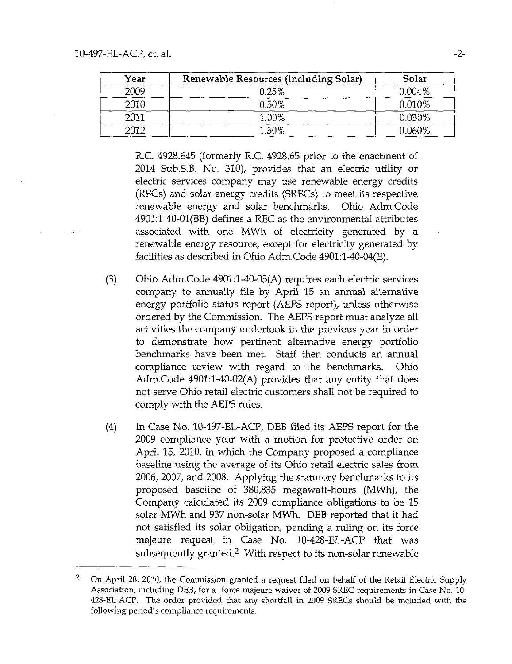**All State** 

| Year | Renewable Resources (including Solar) | Solar     |
|------|---------------------------------------|-----------|
| 2009 | 0.25%                                 | $0.004\%$ |
| 2010 | 0.50%                                 | $0.010\%$ |
| 2011 | 1.00%                                 | 0.030%    |
| 2012 | 1.50%                                 | 0.060%    |

R.C. 4928.645 (formerly R.C. 4928.65 prior to the enactment of 2014 Sub.S.B. No. 310), provides that an electric utility or electric services company may use renewable energy credits (RECs) and solar energy credits (SRECs) to meet its respective renewable energy and solar benchmarks. Ohio Adm.Code 4901;1~40-01(BB) defines a REC as the environmental attributes associated with one MWh of electricity generated by a renewable energy resource, except for electricity generated by facilities as described in Ohio Adm.Code 4901:l-40-04(E).

- (3) Ohio Adm.Code 4901:l-40-05(A) requires each electric services company to annually file by April 15 an annual alternative energy portfolio status report (AEPS report), unless otherwise ordered by the Commission. The AEPS report must analyze all activities the company undertook in the previous year in order to demonstrate how pertinent alternative energy portfolio benchmarks have been met. Staff then conducts an annual compliance review with regard to the benchmarks. Ohio Adm.Code 4901:l-40-02(A) provides that any entity that does not serve Ohio retail electric customers shall not be required to comply with the AEPS rules.
- (4) In Case No. 10-497-EL-ACP, DEB filed its AEPS report for the 2009 compliance year with a motion for protective order on April 15, 2010, in which the Company proposed a compliance baseline using the average of its Ohio retail electric sales from 2006, 2007, and 2008. Applying the statutory benchmarks to its proposed baseline of 380,835 megawatt-hours (MWh), the Company calculated its 2009 compliance obligations to be 15 solar MWh and 937 non-solar MWh. DEB reported that it had not satisfied its solar obligation, pending a ruling on its force majeure request in Case No. 10-428-EL-ACP that was subsequently granted.<sup>2</sup> With respect to its non-solar renewable

 $\mathbf{2}$ On April 28, 2010, the Commission granted a request filed on behalf of the Retail Electric Supply Association, including DEB, for a force majeure waiver of 2009 SREC requirements in Case No. 10- 428~EL-ACP. The order provided that any shortfall in 2009 SRECs should be included with the following period's compliance requirements.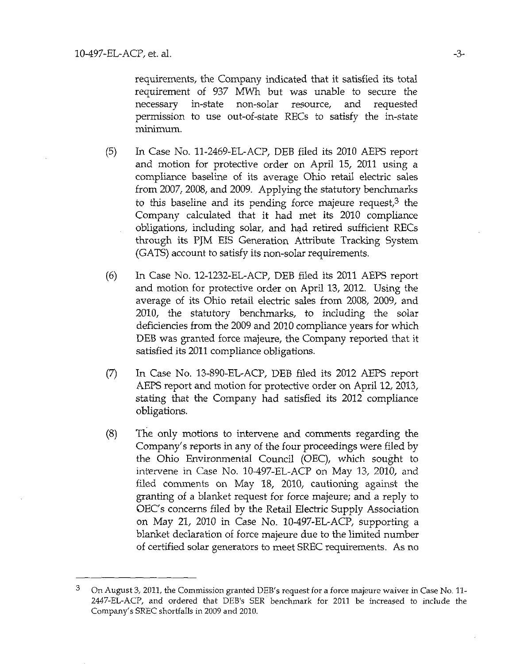requirements, the Company indicated that it satisfied its total requirement of 937 MWh but was unable to secure the necessary in-state non-solar resource, and requested permission to use out-of-state RECs to satisfy the in-state minimum.

- (5) In Case No. 11-2469-EL-ACP, DEB filed its 2010 AEPS report and motion for protective order on April 15, 2011 using a compliance baseline of its average Ohio retail electric sales from 2007, 2008, and 2009. Applying the statutory benchmarks to this baseline and its pending force majeure request, $3$  the Company calculated that it had met its 2010 compliance obligations, including solar, and had retired sufficient RECs through its PJM EIS Generation Attribute Tracking System (GATS) account to satisfy its non-solar requirements.
- (6) In Case No. 12-1232-EL-ACP, DEB filed its 2011 AEPS report and motion for protective order on April 13, 2012. Using the average of its Ohio retail electric sales from 2008, 2009, and 2010, the statutory benchmarks, to including the solar deficiencies from the 2009 and 2010 compliance years for which DEB was granted force majeure, the Company reported that it satisfied its 2011 compliance obligations.
- (7) In Case No. 13-890-EL-ACP, DEB filed its 2012 AEPS report AEPS report and motion for protective order on April 12, 2013, stating that the Company had satisfied its 2012 compliance obligations.
- (8) The only motions to intervene and corrunents regarding the Company's reports in any of the four proceedings were filed by the Ohio Environmental Council (OEC), which sought to intervene in Case No. 10-497-EL-ACP on May 13, 2010, and filed comments on May 18, 2010, cautioning against the granting of a blanket request for force majeure; and a reply to OEC's concerns filed by the Retail Electric Supply Association on May 21, 2010 in Case No. 10-497-EL-ACP, supporting a blanket declaration of force majeure due to the limited number of certified solar generators to meet SREC requirements. As no

 $3$  On August 3, 2011, the Commission granted DEB's request for a force majeure waiver in Case No. 11-2447-EL-ACP, and ordered that DEB's SER benchmark for 2011 be increased to include the Company's SREC shortfalls in 2009 and 2010.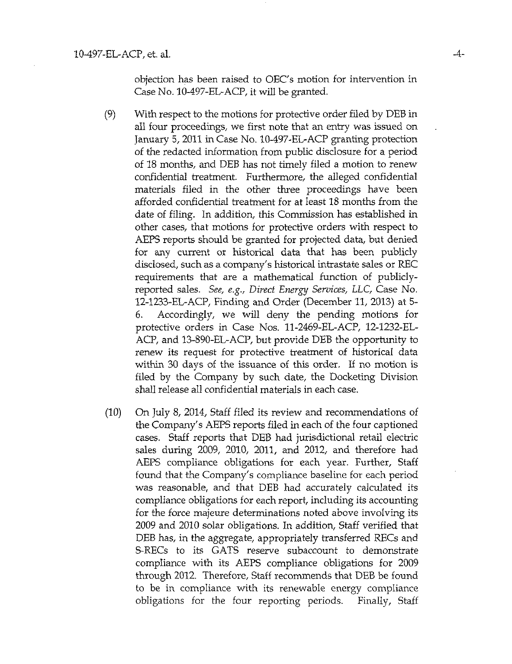objection has been raised to OEC's motion for intervention in Case No. 10-497-EL-ACP, it will be granted.

- (9) With respect to the motions for protective order filed by DEB in all four proceedings, we first note that an entry was issued on January 5, 2011 in Case No. 10-497-EL-ACP granting protection of the redacted iriformation from public disclosure for a period of 18 months, and DEB has not timely filed a motion to renew confidential treatment. Furthermore, the alleged confidential materials filed in the other three proceedings have been afforded confidential treatment for at least 18 months from the date of filing. In addition, this Commission has established in other cases, that motions for protective orders with respect to AEPS reports should be granted for projected data, but denied for any current or historical data that has been publicly disclosed, such as a company's historical intrastate sales or REC requirements that are a mathematical function of publiclyreported sales. See, e.g., Direct Energy Services, LLC, Case No. 12-1233-EL-ACP, Finding and Order (December 11, 2013) at 5- 6. Accordingly, we will deny the pending motions for protective orders in Case Nos. 11-2469-EL-ACP, 12-1232-EL-ACP, and 13-890-EL-ACP, but provide DEB the opportunity to renew its request for protective treatment of historical data within 30 days of the issuance of this order. If no motion is filed by the Company by such date, the Docketing Division shall release all confidential materials in each case.
- (10) On July 8, 2014, Staff filed its review and recommendations of the Company's AEPS reports filed in each of the four captioned cases. Staff reports that DEB had jurisdictional retail electric sales during 2009, 2010, 2011, and 2012, and therefore had AEPS compliance obligations for each year. Further, Staff found that the Company's compliance baseline for each period was reasonable, and that DEB had accurately calculated its compliance obligations for each report, including its accounting for the force majeure determinations noted above involving its 2009 and 2010 solar obligations. In addition. Staff verified that DEB has, in the aggregate, appropriately transferred RECs and S-RECs to its GATS reserve subaccount to demonstrate compliance with its AEPS compliance obligations for 2009 through 2012. Therefore, Staff recommends that DEB be found to be in compliance with its renewable energy compliance obligations for the four reporting periods. Finally, Staff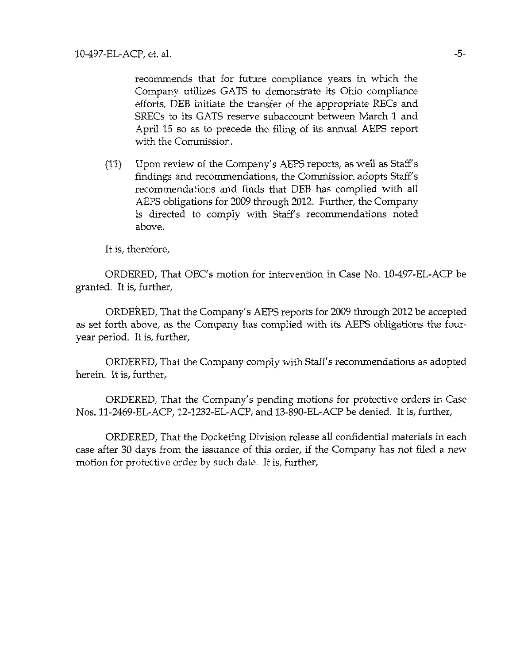recommends that for future compliance years in which the Company utilizes GATS to demonstrate its Ohio compliance efforts, DEB initiate the transfer of the appropriate RECs and SRECs to its GATS reserve subaccount between March 1 and April 15 so as to precede the filing of its annual AEPS report with the Commission.

(11) Upon review of the Company's AEPS reports, as well as Staff's findings and recommendations, the Commission adopts Staff's recommendations and finds that DEB has complied with all AEPS obligations for 2009 through 2012. Further, the Company is directed to comply with Staff's recommendations noted above.

It is, therefore,

ORDERED, That OEC's motion for intervention in Case No. 10-497-EL-ACP be granted. It is, further,

ORDERED, That the Company's AEPS reports for 2009 through 2012 be accepted as set forth above, as the Company has complied with its AEPS obligations the fouryear period. It is, further,

ORDERED, That the Company comply with Staff's recommendations as adopted herein. It is, further,

ORDERED, That the Company's pending motions for protective orders in Case Nos. 11-2469-EL-ACP, 12-1232-EL-ACP, and 13-890-EL-ACP be denied. It is, further,

ORDERED, That the Docketing Division release all confidential materials in each case after 30 days from the issuance of this order, if the Company has not filed a new motion for protective order by such date. It is, further.